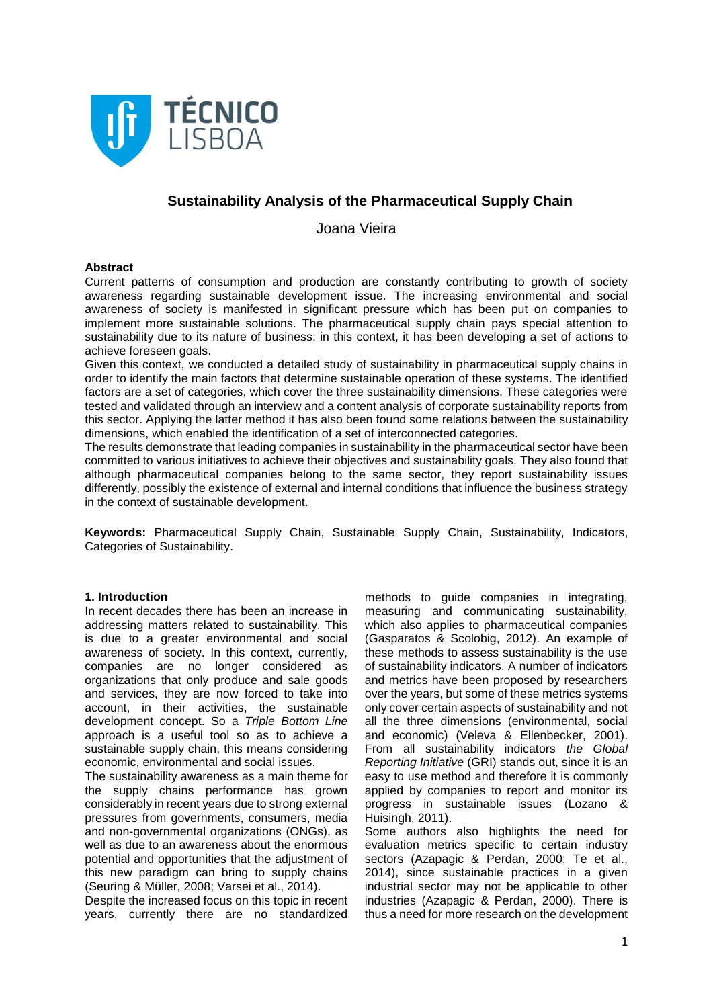

## **Sustainability Analysis of the Pharmaceutical Supply Chain**

Joana Vieira

#### **Abstract**

Current patterns of consumption and production are constantly contributing to growth of society awareness regarding sustainable development issue. The increasing environmental and social awareness of society is manifested in significant pressure which has been put on companies to implement more sustainable solutions. The pharmaceutical supply chain pays special attention to sustainability due to its nature of business; in this context, it has been developing a set of actions to achieve foreseen goals.

Given this context, we conducted a detailed study of sustainability in pharmaceutical supply chains in order to identify the main factors that determine sustainable operation of these systems. The identified factors are a set of categories, which cover the three sustainability dimensions. These categories were tested and validated through an interview and a content analysis of corporate sustainability reports from this sector. Applying the latter method it has also been found some relations between the sustainability dimensions, which enabled the identification of a set of interconnected categories.

The results demonstrate that leading companies in sustainability in the pharmaceutical sector have been committed to various initiatives to achieve their objectives and sustainability goals. They also found that although pharmaceutical companies belong to the same sector, they report sustainability issues differently, possibly the existence of external and internal conditions that influence the business strategy in the context of sustainable development.

**Keywords:** Pharmaceutical Supply Chain, Sustainable Supply Chain, Sustainability, Indicators, Categories of Sustainability.

## **1. Introduction**

In recent decades there has been an increase in addressing matters related to sustainability. This is due to a greater environmental and social awareness of society. In this context, currently, companies are no longer considered as organizations that only produce and sale goods and services, they are now forced to take into account, in their activities, the sustainable development concept. So a *Triple Bottom Line* approach is a useful tool so as to achieve a sustainable supply chain, this means considering economic, environmental and social issues.

The sustainability awareness as a main theme for the supply chains performance has grown considerably in recent years due to strong external pressures from governments, consumers, media and non-governmental organizations (ONGs), as well as due to an awareness about the enormous potential and opportunities that the adjustment of this new paradigm can bring to supply chains (Seuring & Müller, 2008; Varsei et al., 2014).

Despite the increased focus on this topic in recent years, currently there are no standardized

methods to guide companies in integrating, measuring and communicating sustainability, which also applies to pharmaceutical companies (Gasparatos & Scolobig, 2012). An example of these methods to assess sustainability is the use of sustainability indicators. A number of indicators and metrics have been proposed by researchers over the years, but some of these metrics systems only cover certain aspects of sustainability and not all the three dimensions (environmental, social and economic) (Veleva & Ellenbecker, 2001). From all sustainability indicators *the Global Reporting Initiative* (GRI) stands out, since it is an easy to use method and therefore it is commonly applied by companies to report and monitor its progress in sustainable issues (Lozano & Huisingh, 2011).

Some authors also highlights the need for evaluation metrics specific to certain industry sectors (Azapagic & Perdan, 2000; Te et al., 2014), since sustainable practices in a given industrial sector may not be applicable to other industries (Azapagic & Perdan, 2000). There is thus a need for more research on the development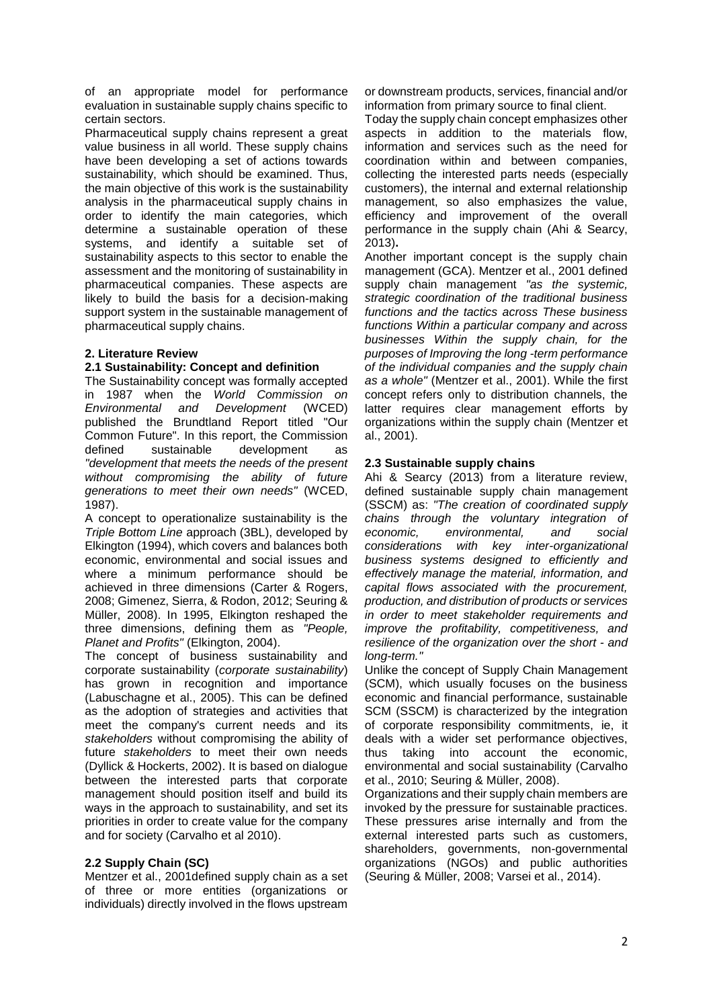of an appropriate model for performance evaluation in sustainable supply chains specific to certain sectors.

Pharmaceutical supply chains represent a great value business in all world. These supply chains have been developing a set of actions towards sustainability, which should be examined. Thus, the main objective of this work is the sustainability analysis in the pharmaceutical supply chains in order to identify the main categories, which determine a sustainable operation of these systems, and identify a suitable set of sustainability aspects to this sector to enable the assessment and the monitoring of sustainability in pharmaceutical companies. These aspects are likely to build the basis for a decision-making support system in the sustainable management of pharmaceutical supply chains.

## **2. Literature Review**

## **2.1 Sustainability: Concept and definition**

The Sustainability concept was formally accepted<br>in 1987 when the World Commission on **World Commission on** *Environmental and Development* (WCED) published the Brundtland Report titled "Our Common Future". In this report, the Commission defined sustainable development as *"development that meets the needs of the present without compromising the ability of future generations to meet their own needs"* (WCED, 1987).

A concept to operationalize sustainability is the *Triple Bottom Line* approach (3BL), developed by Elkington (1994), which covers and balances both economic, environmental and social issues and where a minimum performance should be achieved in three dimensions (Carter & Rogers, 2008; Gimenez, Sierra, & Rodon, 2012; Seuring & Müller, 2008). In 1995, Elkington reshaped the three dimensions, defining them as *"People, Planet and Profits"* (Elkington, 2004).

The concept of business sustainability and corporate sustainability (*corporate sustainability*) has grown in recognition and importance (Labuschagne et al., 2005). This can be defined as the adoption of strategies and activities that meet the company's current needs and its *stakeholders* without compromising the ability of future *stakeholders* to meet their own needs (Dyllick & Hockerts, 2002). It is based on dialogue between the interested parts that corporate management should position itself and build its ways in the approach to sustainability, and set its priorities in order to create value for the company and for society (Carvalho et al 2010).

## **2.2 Supply Chain (SC)**

Mentzer et al., 2001defined supply chain as a set of three or more entities (organizations or individuals) directly involved in the flows upstream or downstream products, services, financial and/or information from primary source to final client.

Today the supply chain concept emphasizes other aspects in addition to the materials flow, information and services such as the need for coordination within and between companies, collecting the interested parts needs (especially customers), the internal and external relationship management, so also emphasizes the value, efficiency and improvement of the overall performance in the supply chain (Ahi & Searcy, 2013)**.**

Another important concept is the supply chain management (GCA). Mentzer et al., 2001 defined supply chain management *"as the systemic, strategic coordination of the traditional business functions and the tactics across These business functions Within a particular company and across businesses Within the supply chain, for the purposes of Improving the long -term performance of the individual companies and the supply chain as a whole"* (Mentzer et al., 2001). While the first concept refers only to distribution channels, the latter requires clear management efforts by organizations within the supply chain (Mentzer et al., 2001).

## **2.3 Sustainable supply chains**

Ahi & Searcy (2013) from a literature review, defined sustainable supply chain management (SSCM) as: *"The creation of coordinated supply chains through the voluntary integration of economic, environmental, and social considerations with key inter-organizational business systems designed to efficiently and effectively manage the material, information, and capital flows associated with the procurement, production, and distribution of products or services in order to meet stakeholder requirements and improve the profitability, competitiveness, and resilience of the organization over the short - and long-term."*

Unlike the concept of Supply Chain Management (SCM), which usually focuses on the business economic and financial performance, sustainable SCM (SSCM) is characterized by the integration of corporate responsibility commitments, ie, it deals with a wider set performance objectives, thus taking into account the economic, environmental and social sustainability (Carvalho et al., 2010; Seuring & Müller, 2008).

Organizations and their supply chain members are invoked by the pressure for sustainable practices. These pressures arise internally and from the external interested parts such as customers, shareholders, governments, non-governmental organizations (NGOs) and public authorities (Seuring & Müller, 2008; Varsei et al., 2014).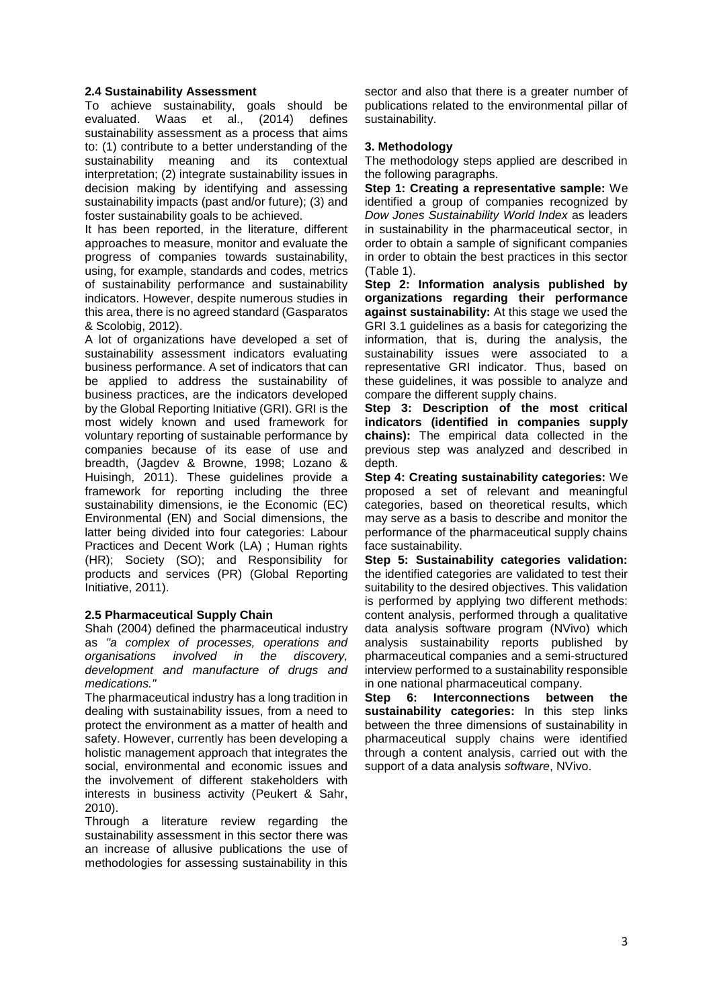## **2.4 Sustainability Assessment**

To achieve sustainability, goals should be evaluated. Waas et al., (2014) defines sustainability assessment as a process that aims to: (1) contribute to a better understanding of the sustainability meaning and its contextual interpretation; (2) integrate sustainability issues in decision making by identifying and assessing sustainability impacts (past and/or future); (3) and foster sustainability goals to be achieved.

It has been reported, in the literature, different approaches to measure, monitor and evaluate the progress of companies towards sustainability, using, for example, standards and codes, metrics of sustainability performance and sustainability indicators. However, despite numerous studies in this area, there is no agreed standard (Gasparatos & Scolobig, 2012).

A lot of organizations have developed a set of sustainability assessment indicators evaluating business performance. A set of indicators that can be applied to address the sustainability of business practices, are the indicators developed by the Global Reporting Initiative (GRI). GRI is the most widely known and used framework for voluntary reporting of sustainable performance by companies because of its ease of use and breadth, (Jagdev & Browne, 1998; Lozano & Huisingh, 2011). These guidelines provide a framework for reporting including the three sustainability dimensions, ie the Economic (EC) Environmental (EN) and Social dimensions, the latter being divided into four categories: Labour Practices and Decent Work (LA) ; Human rights (HR); Society (SO); and Responsibility for products and services (PR) (Global Reporting Initiative, 2011).

## **2.5 Pharmaceutical Supply Chain**

Shah (2004) defined the pharmaceutical industry as *"a complex of processes, operations and organisations involved in the discovery, development and manufacture of drugs and medications."*

The pharmaceutical industry has a long tradition in dealing with sustainability issues, from a need to protect the environment as a matter of health and safety. However, currently has been developing a holistic management approach that integrates the social, environmental and economic issues and the involvement of different stakeholders with interests in business activity (Peukert & Sahr, 2010).

Through a literature review regarding the sustainability assessment in this sector there was an increase of allusive publications the use of methodologies for assessing sustainability in this

sector and also that there is a greater number of publications related to the environmental pillar of sustainability.

## **3. Methodology**

The methodology steps applied are described in the following paragraphs.

**Step 1: Creating a representative sample:** We identified a group of companies recognized by *Dow Jones Sustainability World Index* as leaders in sustainability in the pharmaceutical sector, in order to obtain a sample of significant companies in order to obtain the best practices in this sector (Table 1).

**Step 2: Information analysis published by organizations regarding their performance against sustainability:** At this stage we used the GRI 3.1 guidelines as a basis for categorizing the information, that is, during the analysis, the sustainability issues were associated to a representative GRI indicator. Thus, based on these guidelines, it was possible to analyze and compare the different supply chains.

**Step 3: Description of the most critical indicators (identified in companies supply chains):** The empirical data collected in the previous step was analyzed and described in depth.

**Step 4: Creating sustainability categories:** We proposed a set of relevant and meaningful categories, based on theoretical results, which may serve as a basis to describe and monitor the performance of the pharmaceutical supply chains face sustainability.

**Step 5: Sustainability categories validation:** the identified categories are validated to test their suitability to the desired objectives. This validation is performed by applying two different methods: content analysis, performed through a qualitative data analysis software program (NVivo) which analysis sustainability reports published by pharmaceutical companies and a semi-structured interview performed to a sustainability responsible in one national pharmaceutical company.

**Step 6: Interconnections between the sustainability categories:** In this step links between the three dimensions of sustainability in pharmaceutical supply chains were identified through a content analysis, carried out with the support of a data analysis *software*, NVivo.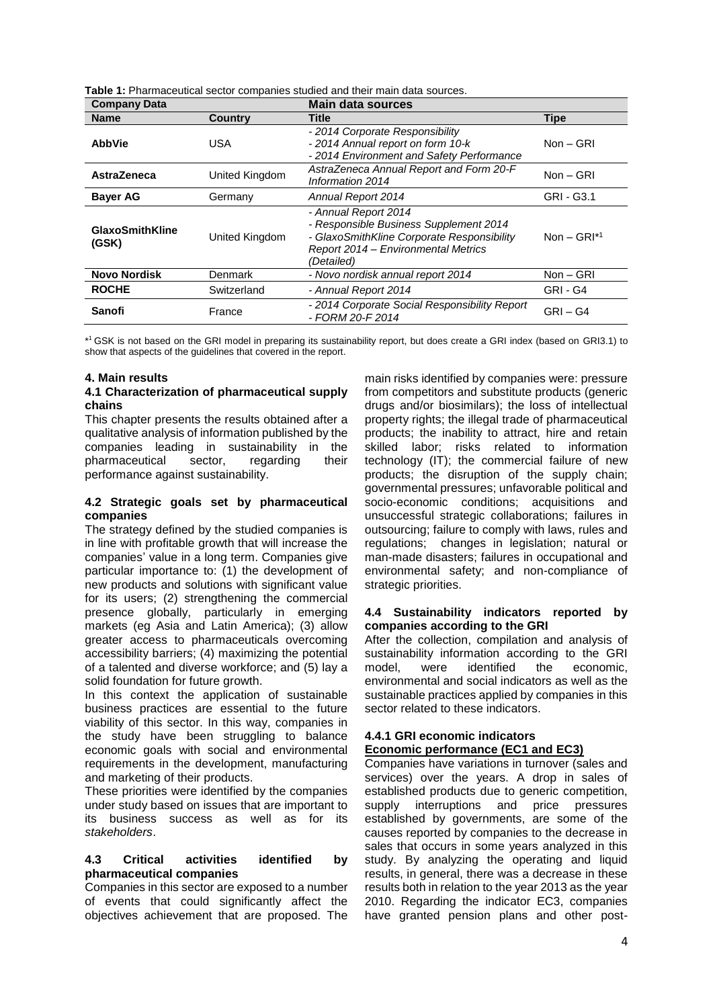| <b>Company Data</b>             |                | <b>Main data sources</b>                                                                                                                                          |                              |  |  |
|---------------------------------|----------------|-------------------------------------------------------------------------------------------------------------------------------------------------------------------|------------------------------|--|--|
| <b>Name</b>                     | <b>Country</b> | Title                                                                                                                                                             | <b>Tipe</b>                  |  |  |
| <b>AbbVie</b>                   | <b>USA</b>     | - 2014 Corporate Responsibility<br>- 2014 Annual report on form 10-k<br>- 2014 Environment and Safety Performance                                                 | $Non - GRI$                  |  |  |
| <b>AstraZeneca</b>              | United Kingdom | AstraZeneca Annual Report and Form 20-F<br>Information 2014                                                                                                       | Non - GRI                    |  |  |
| <b>Bayer AG</b>                 | Germany        | Annual Report 2014                                                                                                                                                | GRI - G3.1                   |  |  |
| <b>GlaxoSmithKline</b><br>(GSK) | United Kingdom | - Annual Report 2014<br>- Responsible Business Supplement 2014<br>- GlaxoSmithKline Corporate Responsibility<br>Report 2014 - Environmental Metrics<br>(Detailed) | Non $-$ GRI $*$ <sup>1</sup> |  |  |
| <b>Novo Nordisk</b>             | Denmark        | - Novo nordisk annual report 2014                                                                                                                                 | $Non - GRI$                  |  |  |
| <b>ROCHE</b>                    | Switzerland    | - Annual Report 2014                                                                                                                                              | GRI-G4                       |  |  |
| Sanofi                          | France         | - 2014 Corporate Social Responsibility Report<br>- FORM 20-F 2014                                                                                                 | $GRI - G4$                   |  |  |

**Table 1:** Pharmaceutical sector companies studied and their main data sources.

\* <sup>1</sup>GSK is not based on the GRI model in preparing its sustainability report, but does create a GRI index (based on GRI3.1) to show that aspects of the guidelines that covered in the report.

#### **4. Main results**

#### **4.1 Characterization of pharmaceutical supply chains**

This chapter presents the results obtained after a qualitative analysis of information published by the companies leading in sustainability in the pharmaceutical sector, regarding their performance against sustainability.

#### **4.2 Strategic goals set by pharmaceutical companies**

The strategy defined by the studied companies is in line with profitable growth that will increase the companies' value in a long term. Companies give particular importance to: (1) the development of new products and solutions with significant value for its users; (2) strengthening the commercial presence globally, particularly in emerging markets (eg Asia and Latin America); (3) allow greater access to pharmaceuticals overcoming accessibility barriers; (4) maximizing the potential of a talented and diverse workforce; and (5) lay a solid foundation for future growth.

In this context the application of sustainable business practices are essential to the future viability of this sector. In this way, companies in the study have been struggling to balance economic goals with social and environmental requirements in the development, manufacturing and marketing of their products.

These priorities were identified by the companies under study based on issues that are important to its business success as well as for its *stakeholders*.

#### **4.3 Critical activities identified by pharmaceutical companies**

Companies in this sector are exposed to a number of events that could significantly affect the objectives achievement that are proposed. The

main risks identified by companies were: pressure from competitors and substitute products (generic drugs and/or biosimilars); the loss of intellectual property rights; the illegal trade of pharmaceutical products; the inability to attract, hire and retain skilled labor; risks related to information technology (IT); the commercial failure of new products; the disruption of the supply chain; governmental pressures; unfavorable political and socio-economic conditions; acquisitions and unsuccessful strategic collaborations; failures in outsourcing; failure to comply with laws, rules and regulations; changes in legislation; natural or man-made disasters; failures in occupational and environmental safety; and non-compliance of strategic priorities.

## **4.4 Sustainability indicators reported by companies according to the GRI**

After the collection, compilation and analysis of sustainability information according to the GRI<br>model, were identified the economic.  $\frac{1}{2}$  were identified the economic. environmental and social indicators as well as the sustainable practices applied by companies in this sector related to these indicators.

# **4.4.1 GRI economic indicators**

## **Economic performance (EC1 and EC3)**

Companies have variations in turnover (sales and services) over the years. A drop in sales of established products due to generic competition, supply interruptions and price pressures established by governments, are some of the causes reported by companies to the decrease in sales that occurs in some years analyzed in this study. By analyzing the operating and liquid results, in general, there was a decrease in these results both in relation to the year 2013 as the year 2010. Regarding the indicator EC3, companies have granted pension plans and other post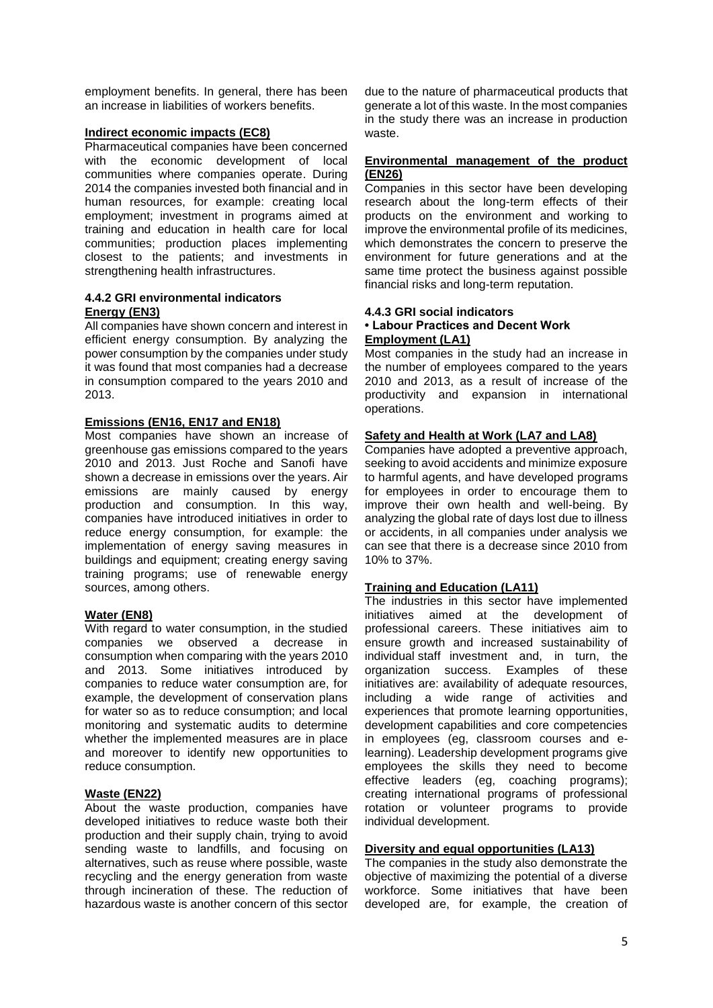employment benefits. In general, there has been an increase in liabilities of workers benefits.

## **Indirect economic impacts (EC8)**

Pharmaceutical companies have been concerned with the economic development of local communities where companies operate. During 2014 the companies invested both financial and in human resources, for example: creating local employment; investment in programs aimed at training and education in health care for local communities; production places implementing closest to the patients; and investments in strengthening health infrastructures.

## **4.4.2 GRI environmental indicators Energy (EN3)**

All companies have shown concern and interest in efficient energy consumption. By analyzing the power consumption by the companies under study it was found that most companies had a decrease in consumption compared to the years 2010 and 2013.

## **Emissions (EN16, EN17 and EN18)**

Most companies have shown an increase of greenhouse gas emissions compared to the years 2010 and 2013. Just Roche and Sanofi have shown a decrease in emissions over the years. Air emissions are mainly caused by energy production and consumption. In this way, companies have introduced initiatives in order to reduce energy consumption, for example: the implementation of energy saving measures in buildings and equipment; creating energy saving training programs; use of renewable energy sources, among others.

#### **Water (EN8)**

With regard to water consumption, in the studied companies we observed a decrease in consumption when comparing with the years 2010 and 2013. Some initiatives introduced by companies to reduce water consumption are, for example, the development of conservation plans for water so as to reduce consumption; and local monitoring and systematic audits to determine whether the implemented measures are in place and moreover to identify new opportunities to reduce consumption.

## **Waste (EN22)**

About the waste production, companies have developed initiatives to reduce waste both their production and their supply chain, trying to avoid sending waste to landfills, and focusing on alternatives, such as reuse where possible, waste recycling and the energy generation from waste through incineration of these. The reduction of hazardous waste is another concern of this sector due to the nature of pharmaceutical products that generate a lot of this waste. In the most companies in the study there was an increase in production waste.

#### **Environmental management of the product (EN26)**

Companies in this sector have been developing research about the long-term effects of their products on the environment and working to improve the environmental profile of its medicines, which demonstrates the concern to preserve the environment for future generations and at the same time protect the business against possible financial risks and long-term reputation.

#### **4.4.3 GRI social indicators • Labour Practices and Decent Work Employment (LA1)**

Most companies in the study had an increase in the number of employees compared to the years 2010 and 2013, as a result of increase of the productivity and expansion in international operations.

## **Safety and Health at Work (LA7 and LA8)**

Companies have adopted a preventive approach, seeking to avoid accidents and minimize exposure to harmful agents, and have developed programs for employees in order to encourage them to improve their own health and well-being. By analyzing the global rate of days lost due to illness or accidents, in all companies under analysis we can see that there is a decrease since 2010 from 10% to 37%.

## **Training and Education (LA11)**

The industries in this sector have implemented initiatives aimed at the development of professional careers. These initiatives aim to ensure growth and increased sustainability of individual staff investment and, in turn, the organization success. Examples of these initiatives are: availability of adequate resources, including a wide range of activities and experiences that promote learning opportunities, development capabilities and core competencies in employees (eg, classroom courses and elearning). Leadership development programs give employees the skills they need to become effective leaders (eg, coaching programs); creating international programs of professional rotation or volunteer programs to provide individual development.

#### **Diversity and equal opportunities (LA13)**

The companies in the study also demonstrate the objective of maximizing the potential of a diverse workforce. Some initiatives that have been developed are, for example, the creation of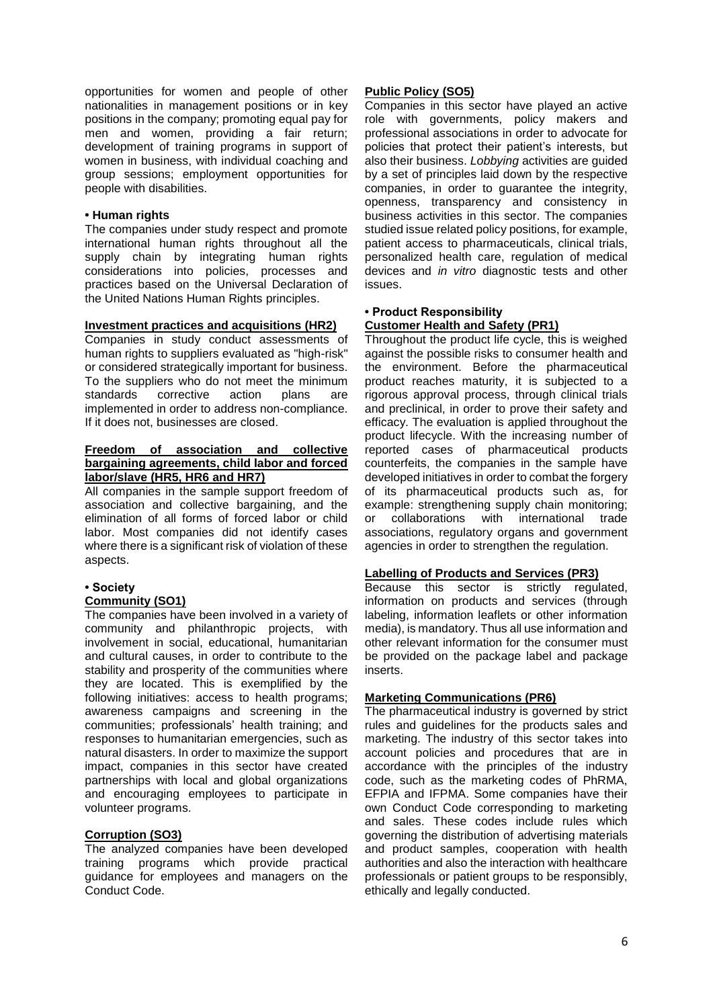opportunities for women and people of other nationalities in management positions or in key positions in the company; promoting equal pay for men and women, providing a fair return; development of training programs in support of women in business, with individual coaching and group sessions; employment opportunities for people with disabilities.

## **• Human rights**

The companies under study respect and promote international human rights throughout all the supply chain by integrating human rights considerations into policies, processes and practices based on the Universal Declaration of the United Nations Human Rights principles.

## **Investment practices and acquisitions (HR2)**

Companies in study conduct assessments of human rights to suppliers evaluated as "high-risk" or considered strategically important for business. To the suppliers who do not meet the minimum standards corrective action plans are implemented in order to address non-compliance. If it does not, businesses are closed.

#### **Freedom of association and collective bargaining agreements, child labor and forced labor/slave (HR5, HR6 and HR7)**

All companies in the sample support freedom of association and collective bargaining, and the elimination of all forms of forced labor or child labor. Most companies did not identify cases where there is a significant risk of violation of these aspects.

## **• Society**

#### **Community (SO1)**

The companies have been involved in a variety of community and philanthropic projects, with involvement in social, educational, humanitarian and cultural causes, in order to contribute to the stability and prosperity of the communities where they are located. This is exemplified by the following initiatives: access to health programs; awareness campaigns and screening in the communities; professionals' health training; and responses to humanitarian emergencies, such as natural disasters. In order to maximize the support impact, companies in this sector have created partnerships with local and global organizations and encouraging employees to participate in volunteer programs.

## **Corruption (SO3)**

The analyzed companies have been developed training programs which provide practical guidance for employees and managers on the Conduct Code.

## **Public Policy (SO5)**

Companies in this sector have played an active role with governments, policy makers and professional associations in order to advocate for policies that protect their patient's interests, but also their business. *Lobbying* activities are guided by a set of principles laid down by the respective companies, in order to guarantee the integrity, openness, transparency and consistency in business activities in this sector. The companies studied issue related policy positions, for example, patient access to pharmaceuticals, clinical trials, personalized health care, regulation of medical devices and *in vitro* diagnostic tests and other issues.

#### **• Product Responsibility Customer Health and Safety (PR1)**

Throughout the product life cycle, this is weighed against the possible risks to consumer health and the environment. Before the pharmaceutical product reaches maturity, it is subjected to a rigorous approval process, through clinical trials and preclinical, in order to prove their safety and efficacy. The evaluation is applied throughout the product lifecycle. With the increasing number of reported cases of pharmaceutical products counterfeits, the companies in the sample have developed initiatives in order to combat the forgery of its pharmaceutical products such as, for example: strengthening supply chain monitoring; or collaborations with international trade associations, regulatory organs and government agencies in order to strengthen the regulation.

## **Labelling of Products and Services (PR3)**

Because this sector is strictly regulated, information on products and services (through labeling, information leaflets or other information media), is mandatory. Thus all use information and other relevant information for the consumer must be provided on the package label and package inserts.

## **Marketing Communications (PR6)**

The pharmaceutical industry is governed by strict rules and guidelines for the products sales and marketing. The industry of this sector takes into account policies and procedures that are in accordance with the principles of the industry code, such as the marketing codes of PhRMA, EFPIA and IFPMA. Some companies have their own Conduct Code corresponding to marketing and sales. These codes include rules which governing the distribution of advertising materials and product samples, cooperation with health authorities and also the interaction with healthcare professionals or patient groups to be responsibly, ethically and legally conducted.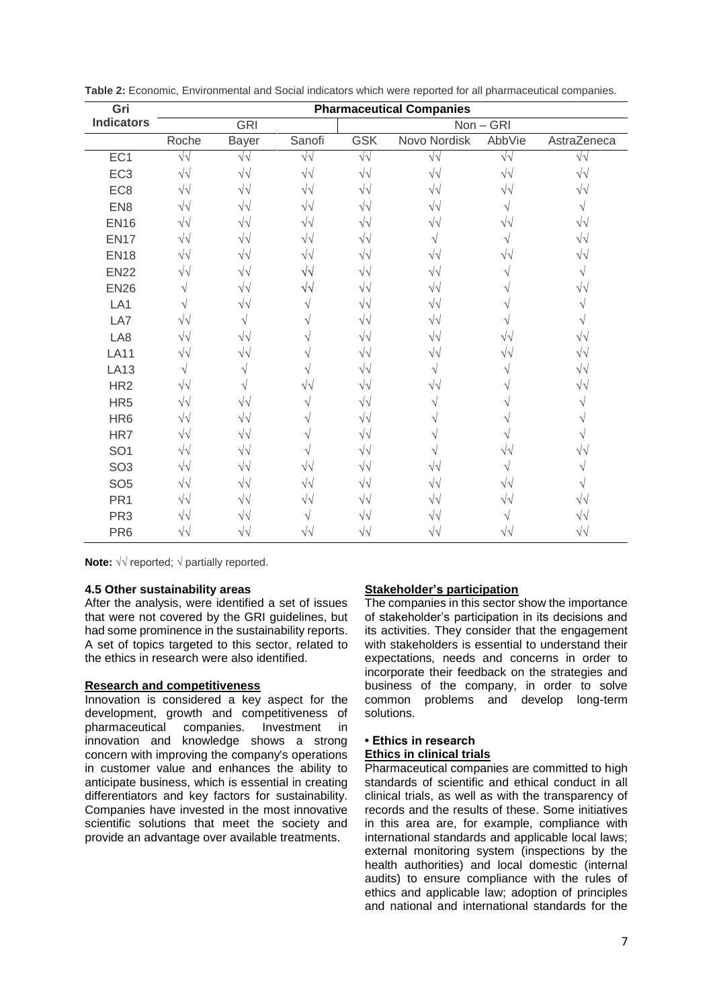| Gri               | <b>Pharmaceutical Companies</b> |                   |            |                   |                   |                   |                   |  |
|-------------------|---------------------------------|-------------------|------------|-------------------|-------------------|-------------------|-------------------|--|
| <b>Indicators</b> | <b>GRI</b>                      |                   |            | $Non - GRI$       |                   |                   |                   |  |
|                   | Roche                           | Bayer             | Sanofi     | <b>GSK</b>        | Novo Nordisk      | AbbVie            | AstraZeneca       |  |
| EC <sub>1</sub>   | $\sqrt{\sqrt{2}}$               | $\sqrt{\sqrt{2}}$ | $\sqrt{2}$ | $\sqrt{\sqrt{2}}$ | $\sqrt{2}$        | $\sqrt{\sqrt{2}}$ | $\sqrt{\sqrt{2}}$ |  |
| EC <sub>3</sub>   | $\sqrt{2}$                      | $\sqrt{2}$        | $\sqrt{2}$ | $\sqrt{2}$        | $\sqrt{2}$        | $\sqrt{\sqrt{2}}$ | $\sqrt{\sqrt{2}}$ |  |
| EC <sub>8</sub>   | $\sqrt{\sqrt{2}}$               | $\sqrt{2}$        | $\sqrt{2}$ | $\sqrt{2}$        | $\sqrt{\sqrt{2}}$ | $\sqrt{v}$        | $\sqrt{\sqrt{2}}$ |  |
| EN <sub>8</sub>   | $\sqrt{\sqrt{2}}$               | $\sqrt{2}$        | $\sqrt{2}$ | $\sqrt{2}$        | $\sqrt{v}$        |                   | V                 |  |
| <b>EN16</b>       | $\sqrt{\sqrt{2}}$               | $\sqrt{2}$        | $\sqrt{2}$ | $\sqrt{2}$        | $\sqrt{2}$        | VV                | $\sqrt{2}$        |  |
| <b>EN17</b>       | $\sqrt{\sqrt{2}}$               | $\sqrt{\sqrt{2}}$ | $\sqrt{2}$ | $\sqrt{2}$        | V                 |                   | $\sqrt{\sqrt{2}}$ |  |
| <b>EN18</b>       | $\sqrt{2}$                      | $\sqrt{2}$        | $\sqrt{2}$ | $\sqrt{2}$        | $\sqrt{\sqrt{2}}$ | V٧                | $\sqrt{v}$        |  |
| <b>EN22</b>       | $\sqrt{2}$                      | $\sqrt{\sqrt{2}}$ | $\sqrt{2}$ | $\sqrt{2}$        | $\sqrt{\sqrt{2}}$ |                   |                   |  |
| <b>EN26</b>       |                                 | $\sqrt{2}$        | $\sqrt{2}$ | $\sqrt{2}$        | $\sqrt{\sqrt{2}}$ |                   | $\sqrt{v}$        |  |
| LA1               |                                 | $\sqrt{\sqrt{2}}$ | V          | $\sqrt{2}$        | $\sqrt{\sqrt{2}}$ |                   |                   |  |
| LA7               | $\sqrt{\sqrt{2}}$               | V                 |            | $\sqrt{2}$        | $\sqrt{\sqrt{2}}$ |                   |                   |  |
| LA8               | $\sqrt{2}$                      | $\sqrt{2}$        |            | $\sqrt{2}$        | $\sqrt{2}$        | $\sqrt{2}$        | $\sqrt{2}$        |  |
| <b>LA11</b>       | $\sqrt{\sqrt{2}}$               | $\sqrt{\sqrt{2}}$ |            | $\sqrt{\sqrt{2}}$ | $\sqrt{\sqrt{2}}$ | $\sqrt{2}$        | $\sqrt{v}$        |  |
| <b>LA13</b>       |                                 |                   |            | $\sqrt{2}$        | V                 |                   | $\sqrt{2}$        |  |
| HR <sub>2</sub>   | $\sqrt{\sqrt{2}}$               |                   | $\sqrt{v}$ | $\sqrt{2}$        | $\sqrt{\sqrt{2}}$ |                   | $\sqrt{2}$        |  |
| HR <sub>5</sub>   | $\sqrt{2}$                      | $\sqrt{\sqrt{2}}$ | V          | $\sqrt{2}$        |                   |                   |                   |  |
| HR <sub>6</sub>   | $\sqrt{2}$                      | $\sqrt{2}$        |            | $\sqrt{2}$        |                   |                   |                   |  |
| HR7               | $\sqrt{\sqrt{2}}$               | $\sqrt{2}$        |            | $\sqrt{2}$        |                   |                   |                   |  |
| SO <sub>1</sub>   | $\sqrt{2}$                      | $\sqrt{2}$        |            | $\sqrt{2}$        |                   |                   | $\sqrt{\sqrt{2}}$ |  |
| SO <sub>3</sub>   | $\sqrt{\sqrt{2}}$               | $\sqrt{2}$        | $\sqrt{2}$ | $\sqrt{2}$        | $\sqrt{\sqrt{2}}$ |                   |                   |  |
| SO <sub>5</sub>   | $\sqrt{\sqrt{2}}$               | $\sqrt{2}$        | $\sqrt{2}$ | $\sqrt{2}$        | $\sqrt{\sqrt{2}}$ | V٦                |                   |  |
| PR <sub>1</sub>   | $\sqrt{\sqrt{2}}$               | $\sqrt{v}$        | $\sqrt{2}$ | $\sqrt{2}$        | $\sqrt{\sqrt{2}}$ | $\sqrt{\sqrt{2}}$ | $\sqrt{v}$        |  |
| PR <sub>3</sub>   | $\sqrt{\sqrt{2}}$               | V٦                |            | $\sqrt{\sqrt{2}}$ | V٦                |                   | $\sqrt{ }$        |  |
| PR <sub>6</sub>   | $\sqrt{\sqrt{2}}$               | $\sqrt{\sqrt{2}}$ | √√         | $\sqrt{\sqrt{2}}$ | $\sqrt{2}$        |                   | $\sqrt{2}$        |  |

**Table 2:** Economic, Environmental and Social indicators which were reported for all pharmaceutical companies.

**Note:** √√ reported; √ partially reported.

#### **4.5 Other sustainability areas**

After the analysis, were identified a set of issues that were not covered by the GRI guidelines, but had some prominence in the sustainability reports. A set of topics targeted to this sector, related to the ethics in research were also identified.

## **Research and competitiveness**

Innovation is considered a key aspect for the development, growth and competitiveness of pharmaceutical companies. Investment in innovation and knowledge shows a strong concern with improving the company's operations in customer value and enhances the ability to anticipate business, which is essential in creating differentiators and key factors for sustainability. Companies have invested in the most innovative scientific solutions that meet the society and provide an advantage over available treatments.

## **Stakeholder's participation**

The companies in this sector show the importance of stakeholder's participation in its decisions and its activities. They consider that the engagement with stakeholders is essential to understand their expectations*,* needs and concerns in order to incorporate their feedback on the strategies and business of the company, in order to solve common problems and develop long-term solutions.

## **• Ethics in research**

#### **Ethics in clinical trials**

Pharmaceutical companies are committed to high standards of scientific and ethical conduct in all clinical trials, as well as with the transparency of records and the results of these. Some initiatives in this area are, for example, compliance with international standards and applicable local laws; external monitoring system (inspections by the health authorities) and local domestic (internal audits) to ensure compliance with the rules of ethics and applicable law; adoption of principles and national and international standards for the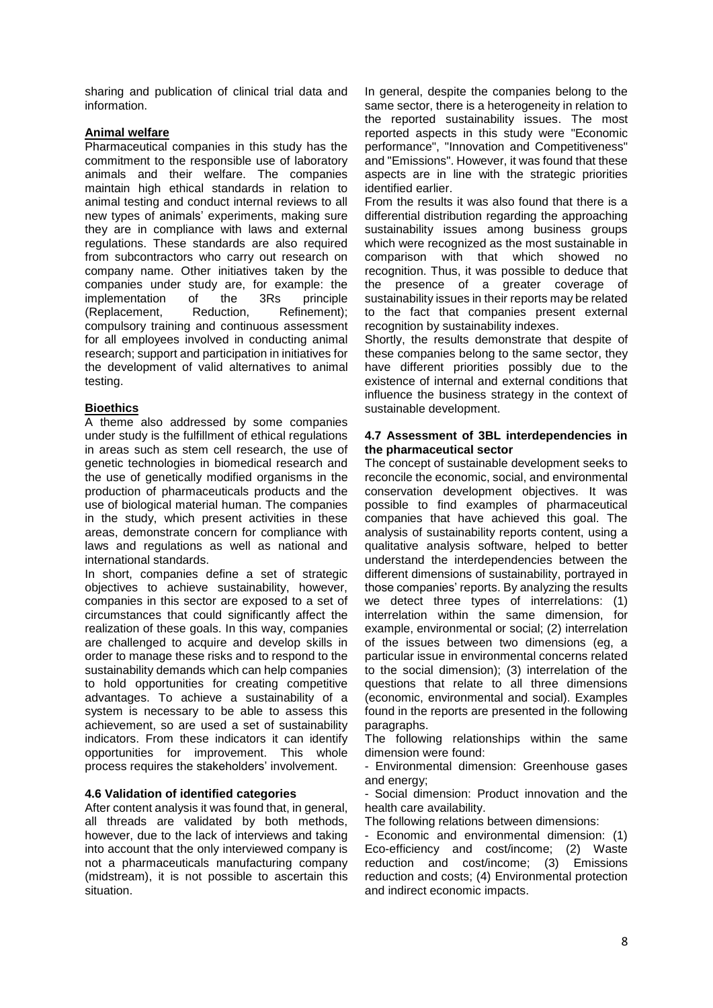sharing and publication of clinical trial data and information.

## **Animal welfare**

Pharmaceutical companies in this study has the commitment to the responsible use of laboratory animals and their welfare. The companies maintain high ethical standards in relation to animal testing and conduct internal reviews to all new types of animals' experiments, making sure they are in compliance with laws and external regulations. These standards are also required from subcontractors who carry out research on company name. Other initiatives taken by the companies under study are, for example: the implementation of the 3Rs principle (Replacement, Reduction, Refinement); compulsory training and continuous assessment for all employees involved in conducting animal research; support and participation in initiatives for the development of valid alternatives to animal testing.

## **Bioethics**

A theme also addressed by some companies under study is the fulfillment of ethical regulations in areas such as stem cell research, the use of genetic technologies in biomedical research and the use of genetically modified organisms in the production of pharmaceuticals products and the use of biological material human. The companies in the study, which present activities in these areas, demonstrate concern for compliance with laws and regulations as well as national and international standards.

In short, companies define a set of strategic objectives to achieve sustainability, however, companies in this sector are exposed to a set of circumstances that could significantly affect the realization of these goals. In this way, companies are challenged to acquire and develop skills in order to manage these risks and to respond to the sustainability demands which can help companies to hold opportunities for creating competitive advantages. To achieve a sustainability of a system is necessary to be able to assess this achievement, so are used a set of sustainability indicators. From these indicators it can identify opportunities for improvement. This whole process requires the stakeholders' involvement.

## **4.6 Validation of identified categories**

After content analysis it was found that, in general, all threads are validated by both methods, however, due to the lack of interviews and taking into account that the only interviewed company is not a pharmaceuticals manufacturing company (midstream), it is not possible to ascertain this situation.

In general, despite the companies belong to the same sector, there is a heterogeneity in relation to the reported sustainability issues. The most reported aspects in this study were "Economic performance", "Innovation and Competitiveness" and "Emissions". However, it was found that these aspects are in line with the strategic priorities identified earlier.

From the results it was also found that there is a differential distribution regarding the approaching sustainability issues among business groups which were recognized as the most sustainable in comparison with that which showed no recognition. Thus, it was possible to deduce that the presence of a greater coverage of sustainability issues in their reports may be related to the fact that companies present external recognition by sustainability indexes.

Shortly, the results demonstrate that despite of these companies belong to the same sector, they have different priorities possibly due to the existence of internal and external conditions that influence the business strategy in the context of sustainable development.

#### **4.7 Assessment of 3BL interdependencies in the pharmaceutical sector**

The concept of sustainable development seeks to reconcile the economic, social, and environmental conservation development objectives. It was possible to find examples of pharmaceutical companies that have achieved this goal. The analysis of sustainability reports content, using a qualitative analysis software, helped to better understand the interdependencies between the different dimensions of sustainability, portrayed in those companies' reports. By analyzing the results we detect three types of interrelations: (1) interrelation within the same dimension, for example, environmental or social; (2) interrelation of the issues between two dimensions (eg, a particular issue in environmental concerns related to the social dimension); (3) interrelation of the questions that relate to all three dimensions (economic, environmental and social). Examples found in the reports are presented in the following paragraphs.

The following relationships within the same dimension were found:

- Environmental dimension: Greenhouse gases and energy;

- Social dimension: Product innovation and the health care availability.

The following relations between dimensions:

- Economic and environmental dimension: (1) Eco-efficiency and cost/income; (2) Waste reduction and cost/income; (3) Emissions reduction and costs; (4) Environmental protection and indirect economic impacts.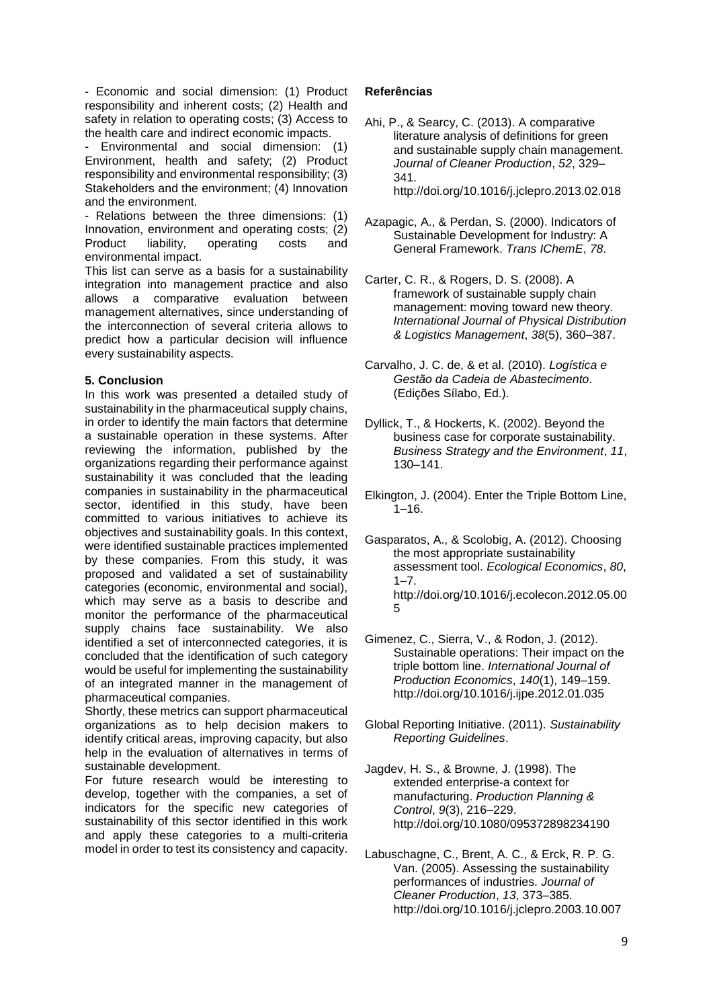- Economic and social dimension: (1) Product responsibility and inherent costs; (2) Health and safety in relation to operating costs; (3) Access to the health care and indirect economic impacts.

- Environmental and social dimension: (1) Environment, health and safety; (2) Product responsibility and environmental responsibility; (3) Stakeholders and the environment; (4) Innovation and the environment.

- Relations between the three dimensions: (1) Innovation, environment and operating costs; (2) Product liability, operating costs and environmental impact.

This list can serve as a basis for a sustainability integration into management practice and also allows a comparative evaluation between management alternatives, since understanding of the interconnection of several criteria allows to predict how a particular decision will influence every sustainability aspects.

## **5. Conclusion**

In this work was presented a detailed study of sustainability in the pharmaceutical supply chains, in order to identify the main factors that determine a sustainable operation in these systems. After reviewing the information, published by the organizations regarding their performance against sustainability it was concluded that the leading companies in sustainability in the pharmaceutical sector, identified in this study, have been committed to various initiatives to achieve its objectives and sustainability goals. In this context, were identified sustainable practices implemented by these companies. From this study, it was proposed and validated a set of sustainability categories (economic, environmental and social), which may serve as a basis to describe and monitor the performance of the pharmaceutical supply chains face sustainability. We also identified a set of interconnected categories, it is concluded that the identification of such category would be useful for implementing the sustainability of an integrated manner in the management of pharmaceutical companies.

Shortly, these metrics can support pharmaceutical organizations as to help decision makers to identify critical areas, improving capacity, but also help in the evaluation of alternatives in terms of sustainable development.

For future research would be interesting to develop, together with the companies, a set of indicators for the specific new categories of sustainability of this sector identified in this work and apply these categories to a multi-criteria model in order to test its consistency and capacity.

## **Referências**

- Ahi, P., & Searcy, C. (2013). A comparative literature analysis of definitions for green and sustainable supply chain management. *Journal of Cleaner Production*, *52*, 329– 341. http://doi.org/10.1016/j.jclepro.2013.02.018
- Azapagic, A., & Perdan, S. (2000). Indicators of Sustainable Development for Industry: A General Framework. *Trans IChemE*, *78*.
- Carter, C. R., & Rogers, D. S. (2008). A framework of sustainable supply chain management: moving toward new theory. *International Journal of Physical Distribution & Logistics Management*, *38*(5), 360–387.
- Carvalho, J. C. de, & et al. (2010). *Logística e Gestão da Cadeia de Abastecimento*. (Edições Sílabo, Ed.).
- Dyllick, T., & Hockerts, K. (2002). Beyond the business case for corporate sustainability. *Business Strategy and the Environment*, *11*, 130–141.
- Elkington, J. (2004). Enter the Triple Bottom Line,  $1 - 16$ .
- Gasparatos, A., & Scolobig, A. (2012). Choosing the most appropriate sustainability assessment tool. *Ecological Economics*, *80*,  $1 - 7$ . http://doi.org/10.1016/j.ecolecon.2012.05.00 5
- Gimenez, C., Sierra, V., & Rodon, J. (2012). Sustainable operations: Their impact on the triple bottom line. *International Journal of Production Economics*, *140*(1), 149–159. http://doi.org/10.1016/j.ijpe.2012.01.035
- Global Reporting Initiative. (2011). *Sustainability Reporting Guidelines*.
- Jagdev, H. S., & Browne, J. (1998). The extended enterprise-a context for manufacturing. *Production Planning & Control*, *9*(3), 216–229. http://doi.org/10.1080/095372898234190
- Labuschagne, C., Brent, A. C., & Erck, R. P. G. Van. (2005). Assessing the sustainability performances of industries. *Journal of Cleaner Production*, *13*, 373–385. http://doi.org/10.1016/j.jclepro.2003.10.007